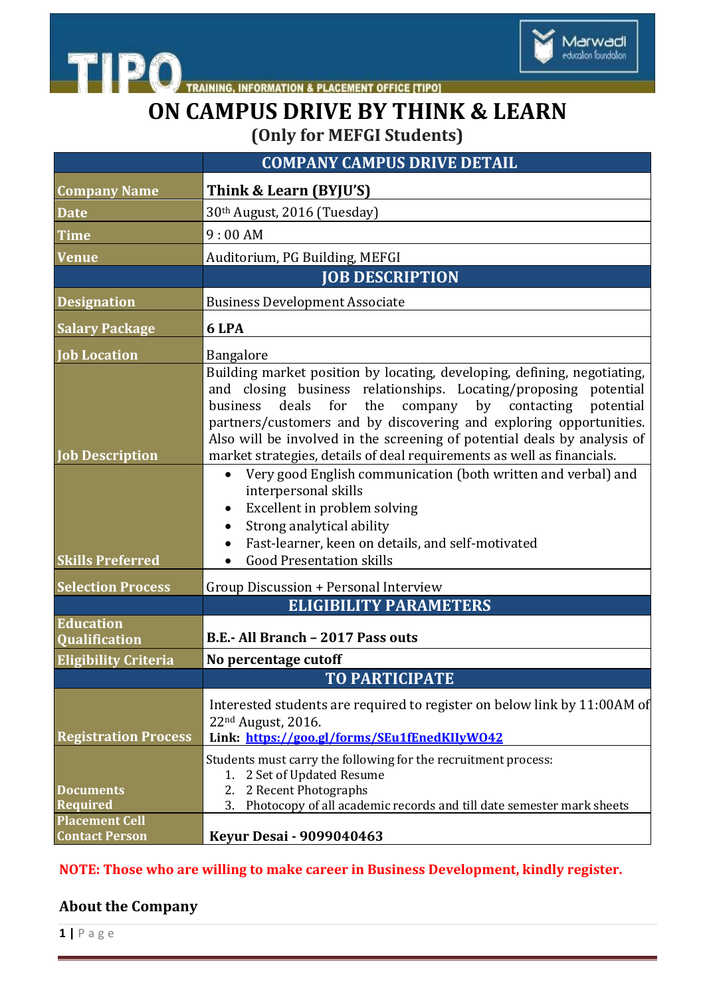

THE PO TRAINING, INFORMATION & PLACEMENT OFFICE [TIPO]

## **ON CAMPUS DRIVE BY THINK & LEARN (Only for MEFGI Students)**

|                                                              | <b>COMPANY CAMPUS DRIVE DETAIL</b>                                                                                                                                                                                                                                                                                                                                                                                                                                                                                                                                                                                                                                                                                                        |
|--------------------------------------------------------------|-------------------------------------------------------------------------------------------------------------------------------------------------------------------------------------------------------------------------------------------------------------------------------------------------------------------------------------------------------------------------------------------------------------------------------------------------------------------------------------------------------------------------------------------------------------------------------------------------------------------------------------------------------------------------------------------------------------------------------------------|
| <b>Company Name</b>                                          | Think & Learn (BYJU'S)                                                                                                                                                                                                                                                                                                                                                                                                                                                                                                                                                                                                                                                                                                                    |
| <b>Date</b>                                                  | 30th August, 2016 (Tuesday)                                                                                                                                                                                                                                                                                                                                                                                                                                                                                                                                                                                                                                                                                                               |
| <b>Time</b>                                                  | 9:00AM                                                                                                                                                                                                                                                                                                                                                                                                                                                                                                                                                                                                                                                                                                                                    |
| <b>Venue</b>                                                 | Auditorium, PG Building, MEFGI                                                                                                                                                                                                                                                                                                                                                                                                                                                                                                                                                                                                                                                                                                            |
|                                                              | <b>JOB DESCRIPTION</b>                                                                                                                                                                                                                                                                                                                                                                                                                                                                                                                                                                                                                                                                                                                    |
| <b>Designation</b>                                           | <b>Business Development Associate</b>                                                                                                                                                                                                                                                                                                                                                                                                                                                                                                                                                                                                                                                                                                     |
| <b>Salary Package</b>                                        | 6 LPA                                                                                                                                                                                                                                                                                                                                                                                                                                                                                                                                                                                                                                                                                                                                     |
| <b>Job Location</b>                                          | Bangalore                                                                                                                                                                                                                                                                                                                                                                                                                                                                                                                                                                                                                                                                                                                                 |
| <b>Job Description</b><br><b>Skills Preferred</b>            | Building market position by locating, developing, defining, negotiating,<br>and closing business relationships. Locating/proposing potential<br>for<br>the<br>deals<br>company<br>by contacting<br>business<br>potential<br>partners/customers and by discovering and exploring opportunities.<br>Also will be involved in the screening of potential deals by analysis of<br>market strategies, details of deal requirements as well as financials.<br>Very good English communication (both written and verbal) and<br>$\bullet$<br>interpersonal skills<br>Excellent in problem solving<br>$\bullet$<br>Strong analytical ability<br>$\bullet$<br>Fast-learner, keen on details, and self-motivated<br><b>Good Presentation skills</b> |
| <b>Selection Process</b>                                     | Group Discussion + Personal Interview                                                                                                                                                                                                                                                                                                                                                                                                                                                                                                                                                                                                                                                                                                     |
|                                                              | <b>ELIGIBILITY PARAMETERS</b>                                                                                                                                                                                                                                                                                                                                                                                                                                                                                                                                                                                                                                                                                                             |
| <b>Education</b><br><b>Qualification</b>                     | B.E.- All Branch - 2017 Pass outs                                                                                                                                                                                                                                                                                                                                                                                                                                                                                                                                                                                                                                                                                                         |
| <b>Eligibility Criteria</b>                                  | No percentage cutoff                                                                                                                                                                                                                                                                                                                                                                                                                                                                                                                                                                                                                                                                                                                      |
|                                                              | <b>TO PARTICIPATE</b>                                                                                                                                                                                                                                                                                                                                                                                                                                                                                                                                                                                                                                                                                                                     |
| <b>Registration Process</b>                                  | Interested students are required to register on below link by 11:00AM of<br>22 <sup>nd</sup> August, 2016.<br>Link: https://goo.gl/forms/SEu1fEnedKIIvW042                                                                                                                                                                                                                                                                                                                                                                                                                                                                                                                                                                                |
| <b>Documents</b><br><b>Required</b><br><b>Placement Cell</b> | Students must carry the following for the recruitment process:<br>2 Set of Updated Resume<br>1.<br>2 Recent Photographs<br>2.<br>Photocopy of all academic records and till date semester mark sheets<br>3.                                                                                                                                                                                                                                                                                                                                                                                                                                                                                                                               |
| <b>Contact Person</b>                                        | <b>Keyur Desai - 9099040463</b>                                                                                                                                                                                                                                                                                                                                                                                                                                                                                                                                                                                                                                                                                                           |

## **NOTE: Those who are willing to make career in Business Development, kindly register.**

## **About the Company**